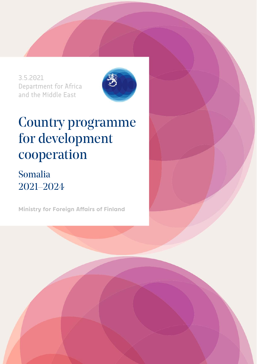3.5.2021 Department for Africa and the Middle East



# Country programme for development cooperation

## Somalia 2021–2024

**Ministry for Foreign Affairs of Finland**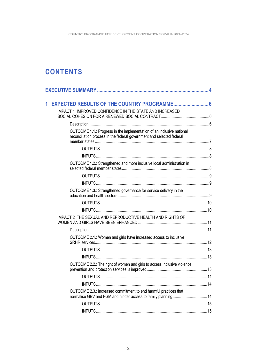### **CONTENTS**

|  | IMPACT 1: IMPROVED CONFIDENCE IN THE STATE AND INCREASED                                                                                       |  |
|--|------------------------------------------------------------------------------------------------------------------------------------------------|--|
|  |                                                                                                                                                |  |
|  | OUTCOME 1.1.: Progress in the implementation of an inclusive national<br>reconciliation process in the federal government and selected federal |  |
|  |                                                                                                                                                |  |
|  |                                                                                                                                                |  |
|  | OUTCOME 1.2.: Strengthened and more inclusive local administration in                                                                          |  |
|  |                                                                                                                                                |  |
|  |                                                                                                                                                |  |
|  | OUTCOME 1.3.: Strengthened governance for service delivery in the                                                                              |  |
|  |                                                                                                                                                |  |
|  |                                                                                                                                                |  |
|  | IMPACT 2: THE SEXUAL AND REPRODUCTIVE HEALTH AND RIGHTS OF                                                                                     |  |
|  |                                                                                                                                                |  |
|  | OUTCOME 2.1.: Women and girls have increased access to inclusive                                                                               |  |
|  |                                                                                                                                                |  |
|  |                                                                                                                                                |  |
|  |                                                                                                                                                |  |
|  | OUTCOME 2.2.: The right of women and girls to access inclusive violence                                                                        |  |
|  |                                                                                                                                                |  |
|  |                                                                                                                                                |  |
|  | OUTCOME 2.3.: increased commitment to end harmful practices that<br>normalise GBV and FGM and hinder access to family planning14               |  |
|  |                                                                                                                                                |  |
|  |                                                                                                                                                |  |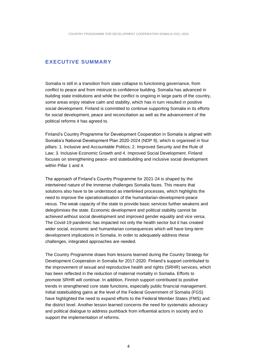#### <span id="page-3-0"></span>**EXECUTIVE SUMMARY**

Somalia is still in a transition from state collapse to functioning governance, from conflict to peace and from mistrust to confidence building. Somalia has advanced in building state institutions and while the conflict is ongoing in large parts of the country, some areas enjoy relative calm and stability, which has in turn resulted in positive social development. Finland is committed to continue supporting Somalia in its efforts for social development, peace and reconciliation as well as the advancement of the political reforms it has agreed to.

Finland's Country Programme for Development Cooperation in Somalia is aligned with Somalia's National Development Plan 2020-2024 (NDP 9), which is organised in four pillars: 1. Inclusive and Accountable Politics; 2. Improved Security and the Rule of Law; 3. Inclusive Economic Growth and 4. Improved Social Development. Finland focuses on strengthening peace- and statebuilding and inclusive social development within Pillar 1 and 4.

The approach of Finland's Country Programme for 2021-24 is shaped by the intertwined nature of the immense challenges Somalia faces. This means that solutions also have to be understood as interlinked processes, which highlights the need to improve the operationalisation of the humanitarian-development-peace nexus. The weak capacity of the state to provide basic services further weakens and delegitimises the state. Economic development and political stability cannot be achieved without social development and improved gender equality and vice versa. The Covid-19 pandemic has impacted not only the health sector but it has created wider social, economic and humanitarian consequences which will have long-term development implications in Somalia. In order to adequately address these challenges, integrated approaches are needed.

The Country Programme draws from lessons learned during the Country Strategy for Development Cooperation in Somalia for 2017-2020. Finland's support contributed to the improvement of sexual and reproductive health and rights (SRHR) services, which has been reflected in the reduction of maternal mortality in Somalia. Efforts to promote SRHR will continue. In addition, Finnish support contributed to positive trends in strengthened core state functions, especially public financial management. Initial statebuilding gains at the level of the Federal Government of Somalia (FGS) have highlighted the need to expand efforts to the Federal Member States (FMS) and the district level. Another lesson learned concerns the need for systematic advocacy and political dialogue to address pushback from influential actors in society and to support the implementation of reforms.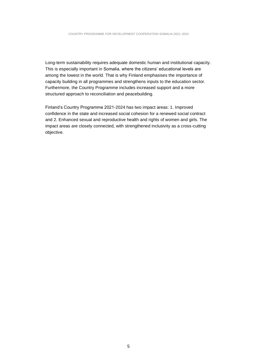Long-term sustainability requires adequate domestic human and institutional capacity. This is especially important in Somalia, where the citizens' educational levels are among the lowest in the world. That is why Finland emphasises the importance of capacity building in all programmes and strengthens inputs to the education sector. Furthermore, the Country Programme includes increased support and a more structured approach to reconciliation and peacebuilding.

Finland's Country Programme 2021-2024 has two impact areas: 1. Improved confidence in the state and increased social cohesion for a renewed social contract and 2. Enhanced sexual and reproductive health and rights of women and girls. The impact areas are closely connected, with strengthened inclusivity as a cross-cutting objective.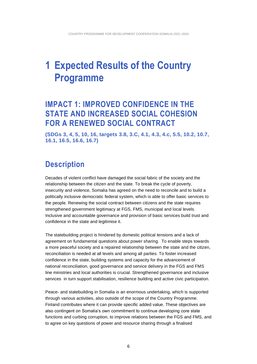## <span id="page-5-0"></span>**1 Expected Results of the Country Programme**

### <span id="page-5-1"></span>**IMPACT 1: IMPROVED CONFIDENCE IN THE STATE AND INCREASED SOCIAL COHESION FOR A RENEWED SOCIAL CONTRACT**

<span id="page-5-2"></span>**(SDGs 3, 4, 5, 10, 16, targets 3.8, 3.C, 4.1, 4.3, 4.c, 5.5, 10.2, 10.7, 16.1, 16.5, 16.6, 16.7)**

### **Description**

Decades of violent conflict have damaged the social fabric of the society and the relationship between the citizen and the state. To break the cycle of poverty, insecurity and violence, Somalia has agreed on the need to reconcile and to build a politically inclusive democratic federal system, which is able to offer basic services to the people. Renewing the social contract between citizens and the state requires strengthened government legitimacy at FGS, FMS, municipal and local levels. Inclusive and accountable governance and provision of basic services build trust and confidence in the state and legitimise it.

The statebuilding project is hindered by domestic political tensions and a lack of agreement on fundamental questions about power sharing. To enable steps towards a more peaceful society and a repaired relationship between the state and the citizen, reconciliation is needed at all levels and among all parties. To foster increased confidence in the state, building systems and capacity for the advancement of national reconciliation, good governance and service delivery in the FGS and FMS line ministries and local authorities is crucial. Strengthened governance and inclusive services in turn support stabilisation, resilience building and active civic participation.

Peace- and statebuilding in Somalia is an enormous undertaking, which is supported through various activities, also outside of the scope of the Country Programme. Finland contributes where it can provide specific added value. These objectives are also contingent on Somalia's own commitment to continue developing core state functions and curbing corruption, to improve relations between the FGS and FMS, and to agree on key questions of power and resource sharing through a finalised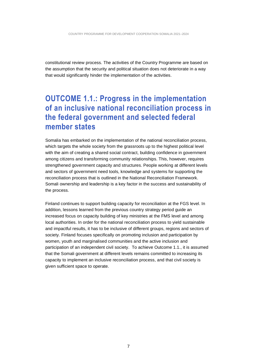constitutional review process. The activities of the Country Programme are based on the assumption that the security and political situation does not deteriorate in a way that would significantly hinder the implementation of the activities.

### <span id="page-6-0"></span>**OUTCOME 1.1.: Progress in the implementation of an inclusive national reconciliation process in the federal government and selected federal member states**

Somalia has embarked on the implementation of the national reconciliation process, which targets the whole society from the grassroots up to the highest political level with the aim of creating a shared social contract, building confidence in government among citizens and transforming community relationships. This, however, requires strengthened government capacity and structures. People working at different levels and sectors of government need tools, knowledge and systems for supporting the reconciliation process that is outlined in the National Reconciliation Framework. Somali ownership and leadership is a key factor in the success and sustainability of the process.

Finland continues to support building capacity for reconciliation at the FGS level. In addition, lessons learned from the previous country strategy period guide an increased focus on capacity building of key ministries at the FMS level and among local authorities. In order for the national reconciliation process to yield sustainable and impactful results, it has to be inclusive of different groups, regions and sectors of society. Finland focuses specifically on promoting inclusion and participation by women, youth and marginalised communities and the active inclusion and participation of an independent civil society. To achieve Outcome 1.1., it is assumed that the Somali government at different levels remains committed to increasing its capacity to implement an inclusive reconciliation process, and that civil society is given sufficient space to operate.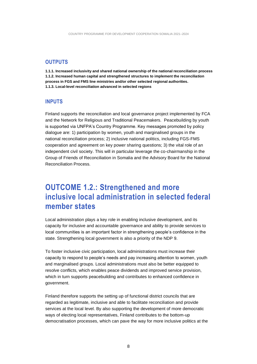#### <span id="page-7-0"></span>**OUTPUTS**

**1.1.1. Increased inclusivity and shared national ownership of the national reconciliation process 1.1.2. Increased human capital and strengthened structures to implement the reconciliation process in FGS and FMS line ministries and/or other selected regional authorities. 1.1.3. Local-level reconciliation advanced in selected regions**

#### <span id="page-7-1"></span>**INPUTS**

Finland supports the reconciliation and local governance project implemented by FCA and the Network for Religious and Traditional Peacemakers. Peacebuilding by youth is supported via UNFPA's Country Programme. Key messages promoted by policy dialogue are: 1) participation by women, youth and marginalised groups in the national reconciliation process; 2) inclusive national politics, including FGS-FMS cooperation and agreement on key power sharing questions; 3) the vital role of an independent civil society. This will in particular leverage the co-chairmanship in the Group of Friends of Reconciliation in Somalia and the Advisory Board for the National Reconciliation Process.

### <span id="page-7-2"></span>**OUTCOME 1.2.: Strengthened and more inclusive local administration in selected federal member states**

Local administration plays a key role in enabling inclusive development, and its capacity for inclusive and accountable governance and ability to provide services to local communities is an important factor in strengthening people's confidence in the state. Strengthening local government is also a priority of the NDP 9.

To foster inclusive civic participation, local administrations must increase their capacity to respond to people's needs and pay increasing attention to women, youth and marginalised groups. Local administrations must also be better equipped to resolve conflicts, which enables peace dividends and improved service provision, which in turn supports peacebuilding and contributes to enhanced confidence in government.

Finland therefore supports the setting up of functional district councils that are regarded as legitimate, inclusive and able to facilitate reconciliation and provide services at the local level. By also supporting the development of more democratic ways of electing local representatives, Finland contributes to the bottom-up democratisation processes, which can pave the way for more inclusive politics at the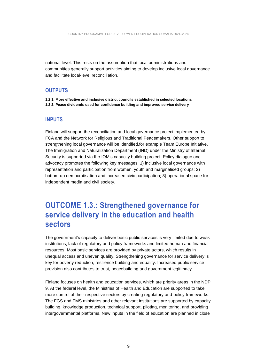national level. This rests on the assumption that local administrations and communities generally support activities aiming to develop inclusive local governance and facilitate local-level reconciliation.

#### <span id="page-8-0"></span>**OUTPUTS**

<span id="page-8-1"></span>**1.2.1. More effective and inclusive district councils established in selected locations 1.2.2. Peace dividends used for confidence building and improved service delivery**

#### **INPUTS**

Finland will support the reconciliation and local governance project implemented by FCA and the Network for Religious and Traditional Peacemakers. Other support to strengthening local governance will be identified,for example Team Europe Initiative. The Immigration and Naturalization Department (IND) under the Ministry of Internal Security is supported via the IOM's capacity building project. Policy dialogue and advocacy promotes the following key messages: 1) inclusive local governance with representation and participation from women, youth and marginalised groups; 2) bottom-up democratisation and increased civic participation; 3) operational space for independent media and civil society.

### <span id="page-8-2"></span>**OUTCOME 1.3.: Strengthened governance for service delivery in the education and health sectors**

The government's capacity to deliver basic public services is very limited due to weak institutions, lack of regulatory and policy frameworks and limited human and financial resources. Most basic services are provided by private actors, which results in unequal access and uneven quality. Strengthening governance for service delivery is key for poverty reduction, resilience building and equality. Increased public service provision also contributes to trust, peacebuilding and government legitimacy.

Finland focuses on health and education services, which are priority areas in the NDP 9. At the federal level, the Ministries of Health and Education are supported to take more control of their respective sectors by creating regulatory and policy frameworks. The FGS and FMS ministries and other relevant institutions are supported by capacity building, knowledge production, technical support, piloting, monitoring, and providing intergovernmental platforms. New inputs in the field of education are planned in close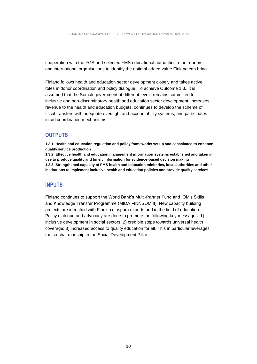cooperation with the FGS and selected FMS educational authorities, other donors, and international organisations to identify the optimal added value Finland can bring.

Finland follows health and education sector development closely and takes active roles in donor coordination and policy dialogue. To achieve Outcome 1.3., it is assumed that the Somali government at different levels remains committed to inclusive and non-discriminatory health and education sector development, increases revenue to the health and education budgets, continues to develop the scheme of fiscal transfers with adequate oversight and accountability systems, and participates in aid coordination mechanisms.

#### <span id="page-9-0"></span>**OUTPUTS**

**1.3.1. Health and education regulation and policy frameworks set up and capacitated to enhance quality service production**

**1.3.2. Effective health and education management information systems established and taken in use to produce quality and timely information for evidence-based decision making 1.3.3. Strengthened capacity of FMS health and education ministries, local authorities and other institutions to implement inclusive health and education policies and provide quality services**

#### <span id="page-9-1"></span>**INPUTS**

Finland continues to support the World Bank's Multi-Partner Fund and IOM's Skills and Knowledge Transfer Programme (MIDA FINNSOM II). New capacity building projects are identified with Finnish diaspora experts and in the field of education. Policy dialogue and advocacy are done to promote the following key messages: 1) inclusive development in social sectors; 2) credible steps towards universal health coverage; 3) increased access to quality education for all. This in particular leverages the co-chairmanship in the Social Development Pillar.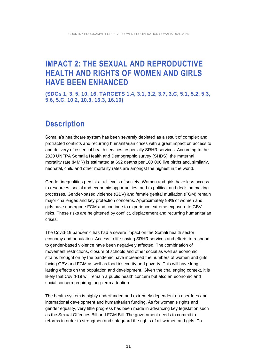### <span id="page-10-0"></span>**IMPACT 2: THE SEXUAL AND REPRODUCTIVE HEALTH AND RIGHTS OF WOMEN AND GIRLS HAVE BEEN ENHANCED**

<span id="page-10-1"></span>**(SDGs 1, 3, 5, 10, 16, TARGETS 1.4, 3.1, 3.2, 3.7, 3.C, 5.1, 5.2, 5.3, 5.6, 5.C, 10.2, 10.3, 16.3, 16.10)**

### **Description**

Somalia's healthcare system has been severely depleted as a result of complex and protracted conflicts and recurring humanitarian crises with a great impact on access to and delivery of essential health services, especially SRHR services. According to the 2020 UNFPA Somalia Health and Demographic survey (SHDS), the maternal mortality rate (MMR) is estimated at 692 deaths per 100 000 live births and, similarly, neonatal, child and other mortality rates are amongst the highest in the world.

Gender inequalities persist at all levels of society. Women and girls have less access to resources, social and economic opportunities, and to political and decision making processes. Gender-based violence (GBV) and female genital mutilation (FGM) remain major challenges and key protection concerns. Approximately 98% of women and girls have undergone FGM and continue to experience extreme exposure to GBV risks. These risks are heightened by conflict, displacement and recurring humanitarian crises.

The Covid-19 pandemic has had a severe impact on the Somali health sector, economy and population. Access to life-saving SRHR services and efforts to respond to gender-based violence have been negatively affected. The combination of movement restrictions, closure of schools and other social as well as economic strains brought on by the pandemic have increased the numbers of women and girls facing GBV and FGM as well as food insecurity and poverty. This will have longlasting effects on the population and development. Given the challenging context, it is likely that Covid-19 will remain a public health concern but also an economic and social concern requiring long-term attention.

The health system is highly underfunded and extremely dependent on user fees and international development and humanitarian funding. As for women's rights and gender equality, very little progress has been made in advancing key legislation such as the Sexual Offences Bill and FGM Bill. The government needs to commit to reforms in order to strengthen and safeguard the rights of all women and girls. To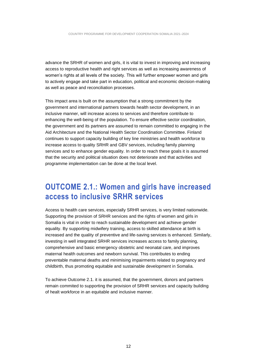advance the SRHR of women and girls, it is vital to invest in improving and increasing access to reproductive health and right services as well as increasing awareness of women's rights at all levels of the society. This will further empower women and girls to actively engage and take part in education, political and economic decision-making as well as peace and reconciliation processes.

This impact area is built on the assumption that a strong commitment by the government and international partners towards health sector development, in an inclusive manner, will increase access to services and therefore contribute to enhancing the well-being of the population. To ensure effective sector coordination, the government and its partners are assumed to remain committed to engaging in the Aid Architecture and the National Health Sector Coordination Committee. Finland continues to support capacity building of key line ministries and health workforce to increase access to quality SRHR and GBV services, including family planning services and to enhance gender equality. In order to reach these goals it is assumed that the security and political situation does not deteriorate and that activities and programme implementation can be done at the local level.

### <span id="page-11-0"></span>**OUTCOME 2.1.: Women and girls have increased access to inclusive SRHR services**

Access to health care services, especially SRHR services, is very limited nationwide. Supporting the provision of SRHR services and the rights of women and girls in Somalia is vital in order to reach sustainable development and achieve gender equality. By supporting midwifery training, access to skilled attendance at birth is increased and the quality of preventive and life-saving services is enhanced. Similarly, investing in well integrated SRHR services increases access to family planning, comprehensive and basic emergency obstetric and neonatal care, and improves maternal health outcomes and newborn survival. This contributes to ending preventable maternal deaths and minimising impairments related to pregnancy and childbirth, thus promoting equitable and sustainable development in Somalia.

To achieve Outcome 2.1. it is assumed, that the government, donors and partners remain commited to supporting the provision of SRHR services and capacity building of healt workforce in an equitable and inclusive manner.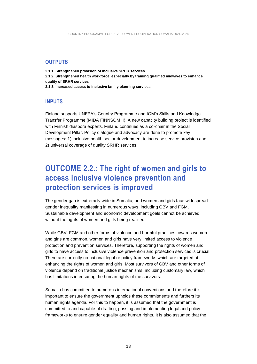#### <span id="page-12-0"></span>**OUTPUTS**

**2.1.1. Strengthened provision of inclusive SRHR services 2.1.2. Strengthened health workforce, especially by training qualified midwives to enhance quality of SRHR services 2.1.3. Increased access to inclusive family planning services**

#### <span id="page-12-1"></span>**INPUTS**

Finland supports UNFPA's Country Programme and IOM's Skills and Knowledge Transfer Programme (MIDA FINNSOM II). A new capacity building project is identified with Finnish diaspora experts. Finland continues as a co-chair in the Social Development Pillar. Policy dialogue and advocacy are done to promote key messages: 1) inclusive health sector development to increase service provision and 2) universal coverage of quality SRHR services.

### <span id="page-12-2"></span>**OUTCOME 2.2.: The right of women and girls to access inclusive violence prevention and protection services is improved**

The gender gap is extremely wide in Somalia, and women and girls face widespread gender inequality manifesting in numerous ways, including GBV and FGM. Sustainable development and economic development goals cannot be achieved without the rights of women and girls being realised.

While GBV, FGM and other forms of violence and harmful practices towards women and girls are common, women and girls have very limited access to violence protection and prevention services. Therefore, supporting the rights of women and girls to have access to inclusive violence prevention and protection services is crucial. There are currently no national legal or policy frameworks which are targeted at enhancing the rights of women and girls. Most survivors of GBV and other forms of violence depend on traditional justice mechanisms, including customary law, which has limitations in ensuring the human rights of the survivors.

Somalia has committed to numerous international conventions and therefore it is important to ensure the government upholds these commitments and furthers its human rights agenda. For this to happen, it is assumed that the government is committed to and capable of drafting, passing and implementing legal and policy frameworks to ensure gender equality and human rights. It is also assumed that the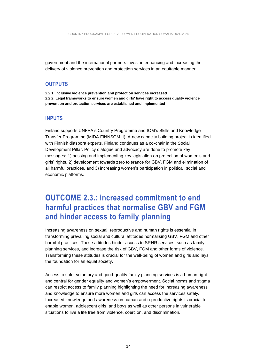government and the international partners invest in enhancing and increasing the delivery of violence prevention and protection services in an equitable manner.

#### <span id="page-13-0"></span>**OUTPUTS**

**2.2.1. Inclusive violence prevention and protection services increased 2.2.2. Legal frameworks to ensure women and girls' have right to access quality violence prevention and protection services are established and implemented**

#### <span id="page-13-1"></span>**INPUTS**

Finland supports UNFPA's Country Programme and IOM's Skills and Knowledge Transfer Programme (MIDA FINNSOM II). A new capacity building project is identified with Finnish diaspora experts. Finland continues as a co-chair in the Social Development Pillar. Policy dialogue and advocacy are done to promote key messages: 1) passing and implementing key legislation on protection of women's and girls' rights, 2) development towards zero tolerance for GBV, FGM and elimination of all harmful practices, and 3) increasing women's participation in political, social and economic platforms.

### <span id="page-13-2"></span>**OUTCOME 2.3.: increased commitment to end harmful practices that normalise GBV and FGM and hinder access to family planning**

Increasing awareness on sexual, reproductive and human rights is essential in transforming prevailing social and cultural attitudes normalising GBV, FGM and other harmful practices. These attitudes hinder access to SRHR services, such as family planning services, and increase the risk of GBV, FGM and other forms of violence. Transforming these attitudes is crucial for the well-being of women and girls and lays the foundation for an equal society.

Access to safe, voluntary and good-quality family planning services is a human right and central for gender equality and women's empowerment. Social norms and stigma can restrict access to family planning highlighting the need for increasing awareness and knowledge to ensure more women and girls can access the services safely. Increased knowledge and awareness on human and reproductive rights is crucial to enable women, adolescent girls, and boys as well as other persons in vulnerable situations to live a life free from violence, coercion, and discrimination.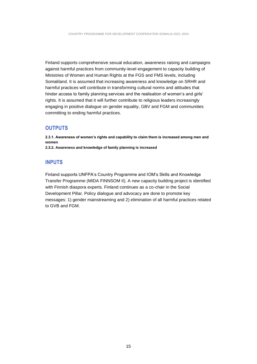Finland supports comprehensive sexual education, awareness raising and campaigns against harmful practices from community-level engagement to capacity building of Ministries of Women and Human Rights at the FGS and FMS levels, including Somaliland. It is assumed that increasing awareness and knowledge on SRHR and harmful practices will contribute in transforming cultural norms and attitudes that hinder access to family planning services and the realisation of women's and girls' rights. It is assumed that it will further contribute to religious leaders increasingly engaging in positive dialogue on gender equality, GBV and FGM and communities committing to ending harmful practices.

#### <span id="page-14-0"></span>**OUTPUTS**

**2.3.1. Awareness of women's rights and capability to claim them is increased among men and women 2.3.2. Awareness and knowledge of family planning is increased**

#### <span id="page-14-1"></span>**INPUTS**

Finland supports UNFPA's Country Programme and IOM's Skills and Knowledge Transfer Programme (MIDA FINNSOM II). A new capacity building project is identified with Finnish diaspora experts. Finland continues as a co-chair in the Social Development Pillar. Policy dialogue and advocacy are done to promote key messages: 1) gender mainstreaming and 2) elimination of all harmful practices related to GVB and FGM.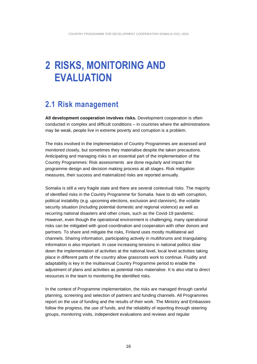## <span id="page-15-0"></span>**2 RISKS, MONITORING AND EVALUATION**

### <span id="page-15-1"></span>**2.1 Risk management**

**All development cooperation involves risks.** Development cooperation is often conducted in complex and difficult conditions – in countries where the administrations may be weak, people live in extreme poverty and corruption is a problem.

The risks involved in the implementation of Country Programmes are assessed and monitored closely, but sometimes they materialise despite the taken precautions. Anticipating and managing risks is an essential part of the implementation of the Country Programmes: Risk assessments are done regularly and impact the programme design and decision making process at all stages. Risk mitigation measures, their success and materialized risks are reported annually.

Somalia is still a very fragile state and there are several contextual risks. The majority of identified risks in the Country Programme for Somalia have to do with corruption, political instability (e.g. upcoming elections, exclusion and clannism), the volatile security situation (including potential domestic and regional violence) as well as recurring national disasters and other crises, such as the Covid-19 pandemic. However, even though the operational environment is challenging, many operational risks can be mitigated with good coordination and cooperation with other donors and partners. To share and mitigate the risks, Finland uses mostly multilateral aid channels. Sharing information, participating actively in multiforums and triangulating information is also important. In case increasing tensions in national politics slow down the implementation of activities at the national level, local level activities taking place in different parts of the country allow grassroots work to continue. Fluidity and adaptability is key in the multiannual Country Programme period to enable the adjustment of plans and activities as potential risks materialise. It is also vital to direct resources in the team to monitoring the identified risks.

In the context of Programme implementation, the risks are managed through careful planning, screening and selection of partners and funding channels. All Programmes report on the use of funding and the results of their work. The Ministry and Embassies follow the progress, the use of funds, and the reliability of reporting through steering groups, monitoring visits, independent evaluations and reviews and regular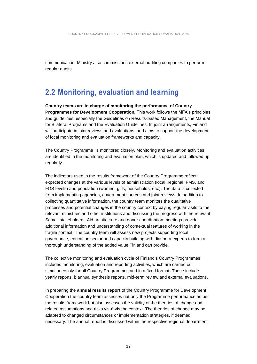communication. Ministry also commissions external auditing companies to perform regular audits.

### <span id="page-16-0"></span>**2.2 Monitoring, evaluation and learning**

**Country teams are in charge of monitoring the performance of Country Programmes for Development Cooperation.** This work follows the MFA's principles and guidelines, especially the Guidelines on Results-based Management, the Manual for Bilateral Programs and the Evaluation Guidelines. In joint arrangements, Finland will participate in joint reviews and evaluations, and aims to support the development of local monitoring and evaluation frameworks and capacity.

The Country Programme is monitored closely. Monitoring and evaluation activities are identified in the monitoring and evaluation plan, which is updated and followed up regularly.

The indicators used in the results framework of the Country Programme reflect expected changes at the various levels of administration (local, regional, FMS, and FGS levels) and population (women, girls, households, etc.). The data is collected from implementing agencies, government sources and joint reviews. In addition to collecting quantitative information, the country team monitors the qualitative processes and potential changes in the country context by paying regular visits to the relevant ministries and other institutions and discussing the progress with the relevant Somali stakeholders. Aid architecture and donor coordination meetings provide additional information and understanding of contextual features of working in the fragile context. The country team will assess new projects supporting local governance, education sector and capacity building with diaspora experts to form a thorough understanding of the added value Finland can provide.

The collective monitoring and evaluation cycle of Finland's Country Programmes includes monitoring, evaluation and reporting activities, which are carried out simultaneously for all Country Programmes and in a fixed format**.** These include yearly reports, biannual synthesis reports, mid-term review and external evaluations.

In preparing the **annual results report** of the Country Programme for Development Cooperation the country team assesses not only the Programme performance as per the results framework but also assesses the validity of the theories of change and related assumptions and risks vis-á-vis the context. The theories of change may be adapted to changed circumstances or implementation strategies, if deemed necessary. The annual report is discussed within the respective regional department.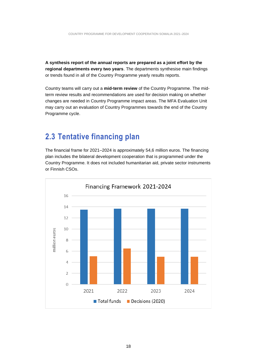**A synthesis report of the annual reports are prepared as a joint effort by the regional departments every two years**. The departments synthesise main findings or trends found in all of the Country Programme yearly results reports.

Country teams will carry out a **mid-term review** of the Country Programme. The midterm review results and recommendations are used for decision making on whether changes are needed in Country Programme impact areas. The MFA Evaluation Unit may carry out an evaluation of Country Programmes towards the end of the Country Programme cycle.

### <span id="page-17-0"></span>**2.3 Tentative financing plan**

The financial frame for 2021–2024 is approximately 54,6 million euros. The financing plan includes the bilateral development cooperation that is programmed under the Country Programme. It does not included humanitarian aid, private sector instruments or Finnish CSOs.